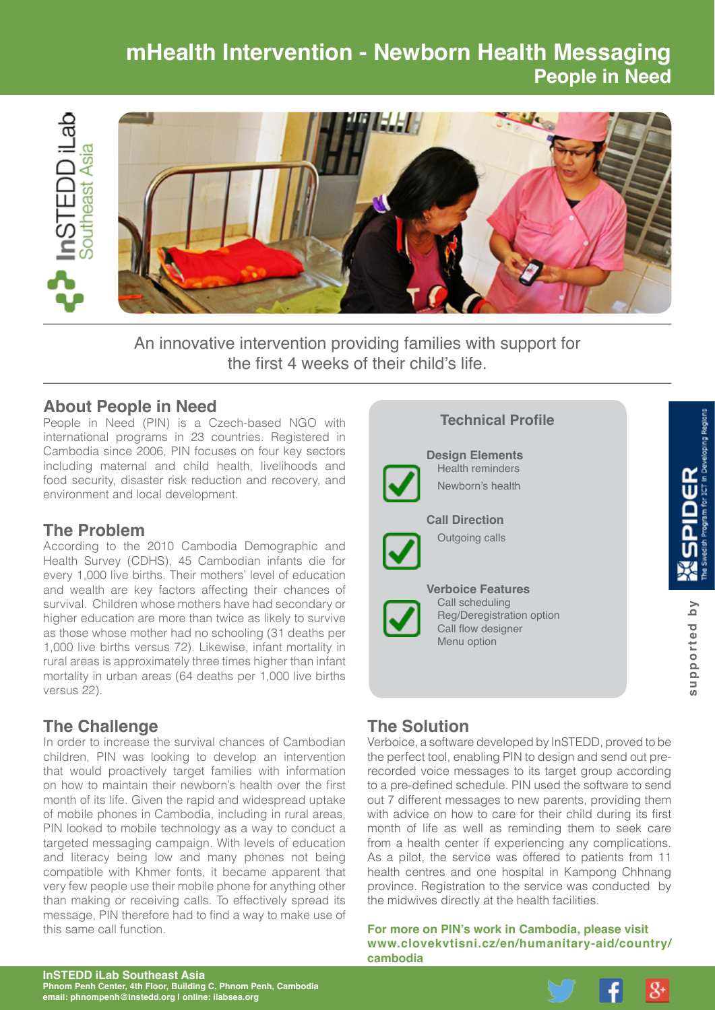# **mHealth Intervention - Newborn Health Messaging People in Need**



An innovative intervention providing families with support for the first 4 weeks of their child's life.

## **About People in Need**

People in Need (PIN) is a Czech-based NGO with international programs in 23 countries. Registered in Cambodia since 2006, PIN focuses on four key sectors including maternal and child health, livelihoods and food security, disaster risk reduction and recovery, and environment and local development.

## **The Problem**

According to the 2010 Cambodia Demographic and Health Survey (CDHS), 45 Cambodian infants die for every 1,000 live births. Their mothers' level of education and wealth are key factors affecting their chances of survival. Children whose mothers have had secondary or higher education are more than twice as likely to survive as those whose mother had no schooling (31 deaths per 1,000 live births versus 72). Likewise, infant mortality in rural areas is approximately three times higher than infant mortality in urban areas (64 deaths per 1,000 live births versus 22).

## **The Challenge**

In order to increase the survival chances of Cambodian children, PIN was looking to develop an intervention that would proactively target families with information on how to maintain their newborn's health over the first month of its life. Given the rapid and widespread uptake of mobile phones in Cambodia, including in rural areas, PIN looked to mobile technology as a way to conduct a targeted messaging campaign. With levels of education and literacy being low and many phones not being compatible with Khmer fonts, it became apparent that very few people use their mobile phone for anything other than making or receiving calls. To effectively spread its message, PIN therefore had to find a way to make use of this same call function.

# **Technical Profile Design Elements** Health reminders Newborn's health **Call Direction** Outgoing calls **Verboice Features** Call scheduling Reg/Deregistration option Call flow designer Menu option

# PIDER

# **The Solution**

Verboice, a software developed by InSTEDD, proved to be the perfect tool, enabling PIN to design and send out prerecorded voice messages to its target group according to a pre-defined schedule. PIN used the software to send out 7 different messages to new parents, providing them with advice on how to care for their child during its first month of life as well as reminding them to seek care from a health center if experiencing any complications. As a pilot, the service was offered to patients from 11 health centres and one hospital in Kampong Chhnang province. Registration to the service was conducted by the midwives directly at the health facilities.

**For more on PIN's work in Cambodia, please visit [www.clovekvtisni.cz/en/humanitary-aid/country/](http://www.clovekvtisni.cz/en/humanitary-aid/country/cambodia) [cambodia](http://www.clovekvtisni.cz/en/humanitary-aid/country/cambodia)**



**InSTEDD iLab Southeast Asia Phnom Penh Center, 4th Floor, Building C, Phnom Penh, Cambodia email: [phnompenh@instedd.org](mailto:phnompenh%40instedd.org) | online: [ilabsea.org](http://ilabsea.org/)**